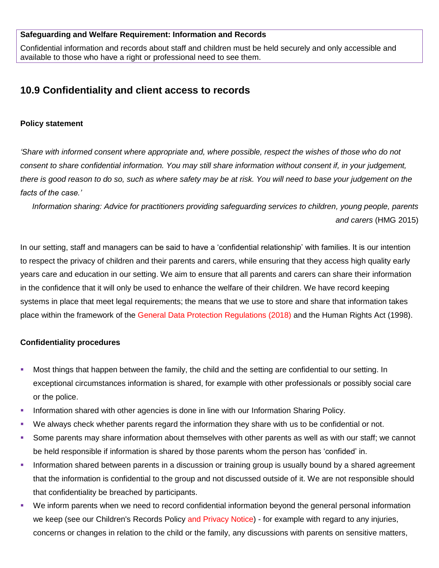#### **Safeguarding and Welfare Requirement: Information and Records**

Confidential information and records about staff and children must be held securely and only accessible and available to those who have a right or professional need to see them.

# **10.9 Confidentiality and client access to records**

#### **Policy statement**

*'Share with informed consent where appropriate and, where possible, respect the wishes of those who do not consent to share confidential information. You may still share information without consent if, in your judgement, there is good reason to do so, such as where safety may be at risk. You will need to base your judgement on the facts of the case.'*

*Information sharing: Advice for practitioners providing safeguarding services to children, young people, parents and carers* (HMG 2015)

In our setting, staff and managers can be said to have a 'confidential relationship' with families. It is our intention to respect the privacy of children and their parents and carers, while ensuring that they access high quality early years care and education in our setting. We aim to ensure that all parents and carers can share their information in the confidence that it will only be used to enhance the welfare of their children. We have record keeping systems in place that meet legal requirements; the means that we use to store and share that information takes place within the framework of the General Data Protection Regulations (2018) and the Human Rights Act (1998).

## **Confidentiality procedures**

- Most things that happen between the family, the child and the setting are confidential to our setting. In exceptional circumstances information is shared, for example with other professionals or possibly social care or the police.
- **Information shared with other agencies is done in line with our Information Sharing Policy.**
- We always check whether parents regard the information they share with us to be confidential or not.
- Some parents may share information about themselves with other parents as well as with our staff; we cannot be held responsible if information is shared by those parents whom the person has 'confided' in.
- Information shared between parents in a discussion or training group is usually bound by a shared agreement that the information is confidential to the group and not discussed outside of it. We are not responsible should that confidentiality be breached by participants.
- We inform parents when we need to record confidential information beyond the general personal information we keep (see our Children's Records Policy and Privacy Notice) - for example with regard to any injuries, concerns or changes in relation to the child or the family, any discussions with parents on sensitive matters,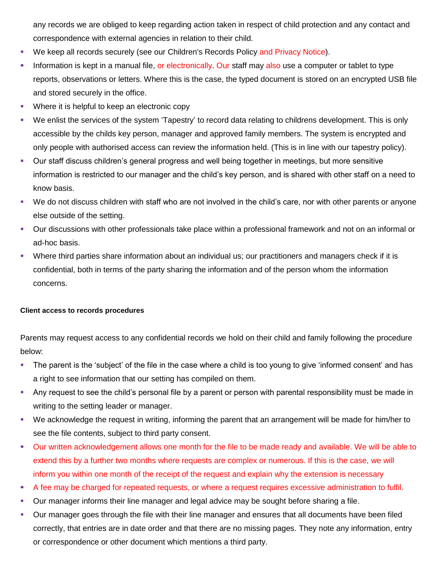any records we are obliged to keep regarding action taken in respect of child protection and any contact and correspondence with external agencies in relation to their child.

- We keep all records securely (see our Children's Records Policy and Privacy Notice).
- Information is kept in a manual file, or electronically. Our staff may also use a computer or tablet to type reports, observations or letters. Where this is the case, the typed document is stored on an encrypted USB file and stored securely in the office.
- **Where it is helpful to keep an electronic copy**
- We enlist the services of the system 'Tapestry' to record data relating to childrens development. This is only accessible by the childs key person, manager and approved family members. The system is encrypted and only people with authorised access can review the information held. (This is in line with our tapestry policy).
- Our staff discuss children's general progress and well being together in meetings, but more sensitive information is restricted to our manager and the child's key person, and is shared with other staff on a need to know basis.
- We do not discuss children with staff who are not involved in the child's care, nor with other parents or anyone else outside of the setting.
- Our discussions with other professionals take place within a professional framework and not on an informal or ad-hoc basis.
- Where third parties share information about an individual us; our practitioners and managers check if it is confidential, both in terms of the party sharing the information and of the person whom the information concerns.

## **Client access to records procedures**

Parents may request access to any confidential records we hold on their child and family following the procedure below:

- The parent is the 'subject' of the file in the case where a child is too young to give 'informed consent' and has a right to see information that our setting has compiled on them.
- Any request to see the child's personal file by a parent or person with parental responsibility must be made in writing to the setting leader or manager.
- We acknowledge the request in writing, informing the parent that an arrangement will be made for him/her to see the file contents, subject to third party consent.
- Our written acknowledgement allows one month for the file to be made ready and available. We will be able to extend this by a further two months where requests are complex or numerous. If this is the case, we will inform you within one month of the receipt of the request and explain why the extension is necessary
- A fee may be charged for repeated requests, or where a request requires excessive administration to fulfil.
- Our manager informs their line manager and legal advice may be sought before sharing a file.
- Our manager goes through the file with their line manager and ensures that all documents have been filed correctly, that entries are in date order and that there are no missing pages. They note any information, entry or correspondence or other document which mentions a third party.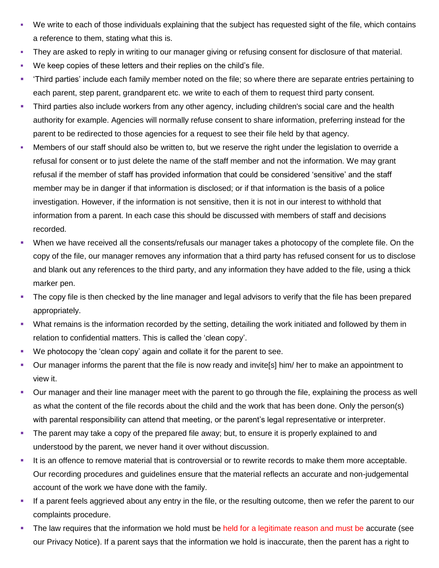- We write to each of those individuals explaining that the subject has requested sight of the file, which contains a reference to them, stating what this is.
- They are asked to reply in writing to our manager giving or refusing consent for disclosure of that material.
- We keep copies of these letters and their replies on the child's file.
- 'Third parties' include each family member noted on the file; so where there are separate entries pertaining to each parent, step parent, grandparent etc. we write to each of them to request third party consent.
- Third parties also include workers from any other agency, including children's social care and the health authority for example. Agencies will normally refuse consent to share information, preferring instead for the parent to be redirected to those agencies for a request to see their file held by that agency.
- Members of our staff should also be written to, but we reserve the right under the legislation to override a refusal for consent or to just delete the name of the staff member and not the information. We may grant refusal if the member of staff has provided information that could be considered 'sensitive' and the staff member may be in danger if that information is disclosed; or if that information is the basis of a police investigation. However, if the information is not sensitive, then it is not in our interest to withhold that information from a parent. In each case this should be discussed with members of staff and decisions recorded.
- When we have received all the consents/refusals our manager takes a photocopy of the complete file. On the copy of the file, our manager removes any information that a third party has refused consent for us to disclose and blank out any references to the third party, and any information they have added to the file, using a thick marker pen.
- The copy file is then checked by the line manager and legal advisors to verify that the file has been prepared appropriately.
- What remains is the information recorded by the setting, detailing the work initiated and followed by them in relation to confidential matters. This is called the 'clean copy'.
- We photocopy the 'clean copy' again and collate it for the parent to see.
- Our manager informs the parent that the file is now ready and invite[s] him/ her to make an appointment to view it.
- Our manager and their line manager meet with the parent to go through the file, explaining the process as well as what the content of the file records about the child and the work that has been done. Only the person(s) with parental responsibility can attend that meeting, or the parent's legal representative or interpreter.
- The parent may take a copy of the prepared file away; but, to ensure it is properly explained to and understood by the parent, we never hand it over without discussion.
- It is an offence to remove material that is controversial or to rewrite records to make them more acceptable. Our recording procedures and guidelines ensure that the material reflects an accurate and non-judgemental account of the work we have done with the family.
- If a parent feels aggrieved about any entry in the file, or the resulting outcome, then we refer the parent to our complaints procedure.
- The law requires that the information we hold must be held for a legitimate reason and must be accurate (see our Privacy Notice). If a parent says that the information we hold is inaccurate, then the parent has a right to